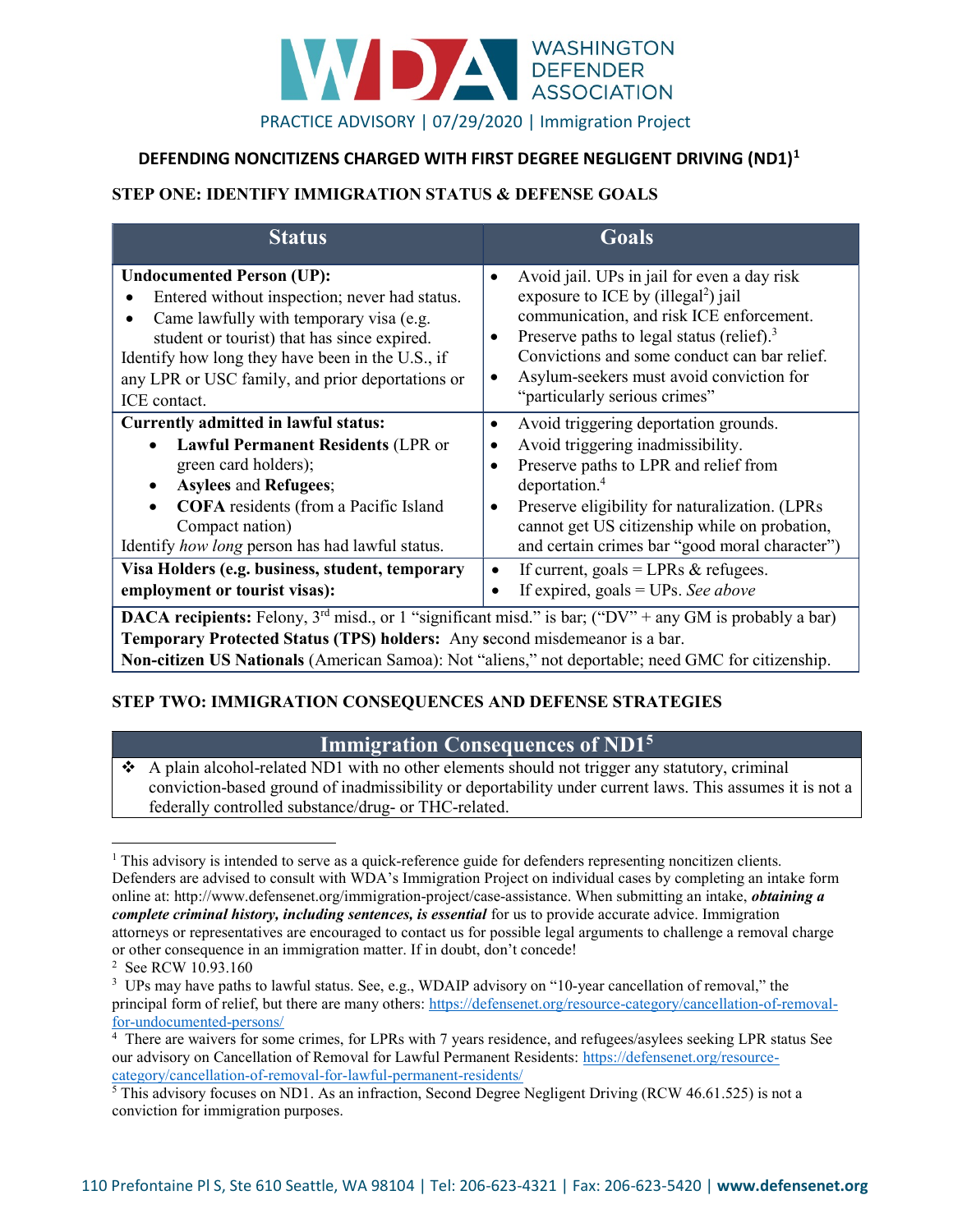

#### DEFENDING NONCITIZENS CHARGED WITH FIRST DEGREE NEGLIGENT DRIVING (ND1)<sup>1</sup>

#### STEP ONE: IDENTIFY IMMIGRATION STATUS & DEFENSE GOALS

| <b>Status</b>                                                                                                                                                                                                                                                                                                                   | Goals                                                                                                                                                                                                                                                                                                                                                                                               |
|---------------------------------------------------------------------------------------------------------------------------------------------------------------------------------------------------------------------------------------------------------------------------------------------------------------------------------|-----------------------------------------------------------------------------------------------------------------------------------------------------------------------------------------------------------------------------------------------------------------------------------------------------------------------------------------------------------------------------------------------------|
| <b>Undocumented Person (UP):</b><br>Entered without inspection; never had status.<br>Came lawfully with temporary visa (e.g.<br>student or tourist) that has since expired.<br>Identify how long they have been in the U.S., if<br>any LPR or USC family, and prior deportations or<br>ICE contact.                             | Avoid jail. UPs in jail for even a day risk<br>$\bullet$<br>exposure to ICE by (illegal <sup>2</sup> ) jail<br>communication, and risk ICE enforcement.<br>Preserve paths to legal status (relief). <sup>3</sup><br>$\bullet$<br>Convictions and some conduct can bar relief.<br>Asylum-seekers must avoid conviction for<br>$\bullet$<br>"particularly serious crimes"                             |
| Currently admitted in lawful status:<br><b>Lawful Permanent Residents (LPR or</b><br>$\bullet$<br>green card holders);<br><b>Asylees and Refugees;</b><br><b>COFA</b> residents (from a Pacific Island<br>Compact nation)<br>Identify how long person has had lawful status.<br>Visa Holders (e.g. business, student, temporary | Avoid triggering deportation grounds.<br>$\bullet$<br>Avoid triggering inadmissibility.<br>$\bullet$<br>Preserve paths to LPR and relief from<br>$\bullet$<br>deportation. <sup>4</sup><br>Preserve eligibility for naturalization. (LPRs<br>$\bullet$<br>cannot get US citizenship while on probation,<br>and certain crimes bar "good moral character")<br>If current, goals = LPRs $&$ refugees. |
| employment or tourist visas):<br><b>DACA recipients:</b> Felony, $3^{rd}$ misd., or 1 "significant misd." is bar; ("DV" + any GM is probably a bar)                                                                                                                                                                             | If expired, goals = $UPs$ . See above                                                                                                                                                                                                                                                                                                                                                               |
|                                                                                                                                                                                                                                                                                                                                 |                                                                                                                                                                                                                                                                                                                                                                                                     |

Temporary Protected Status (TPS) holders: Any second misdemeanor is a bar. Non-citizen US Nationals (American Samoa): Not "aliens," not deportable; need GMC for citizenship.

#### STEP TWO: IMMIGRATION CONSEQUENCES AND DEFENSE STRATEGIES

# Immigration Consequences of ND1<sup>5</sup>

 A plain alcohol-related ND1 with no other elements should not trigger any statutory, criminal conviction-based ground of inadmissibility or deportability under current laws. This assumes it is not a federally controlled substance/drug- or THC-related.

 $\overline{a}$ 

<sup>&</sup>lt;sup>1</sup> This advisory is intended to serve as a quick-reference guide for defenders representing noncitizen clients. Defenders are advised to consult with WDA's Immigration Project on individual cases by completing an intake form online at: http://www.defensenet.org/immigration-project/case-assistance. When submitting an intake, *obtaining a* complete criminal history, including sentences, is essential for us to provide accurate advice. Immigration attorneys or representatives are encouraged to contact us for possible legal arguments to challenge a removal charge or other consequence in an immigration matter. If in doubt, don't concede!

<sup>2</sup> See RCW 10.93.160

<sup>&</sup>lt;sup>3</sup> UPs may have paths to lawful status. See, e.g., WDAIP advisory on "10-year cancellation of removal," the principal form of relief, but there are many others: https://defensenet.org/resource-category/cancellation-of-removalfor-undocumented-persons/

<sup>4</sup> There are waivers for some crimes, for LPRs with 7 years residence, and refugees/asylees seeking LPR status See our advisory on Cancellation of Removal for Lawful Permanent Residents: https://defensenet.org/resourcecategory/cancellation-of-removal-for-lawful-permanent-residents/

<sup>&</sup>lt;sup>5</sup> This advisory focuses on ND1. As an infraction, Second Degree Negligent Driving (RCW 46.61.525) is not a conviction for immigration purposes.